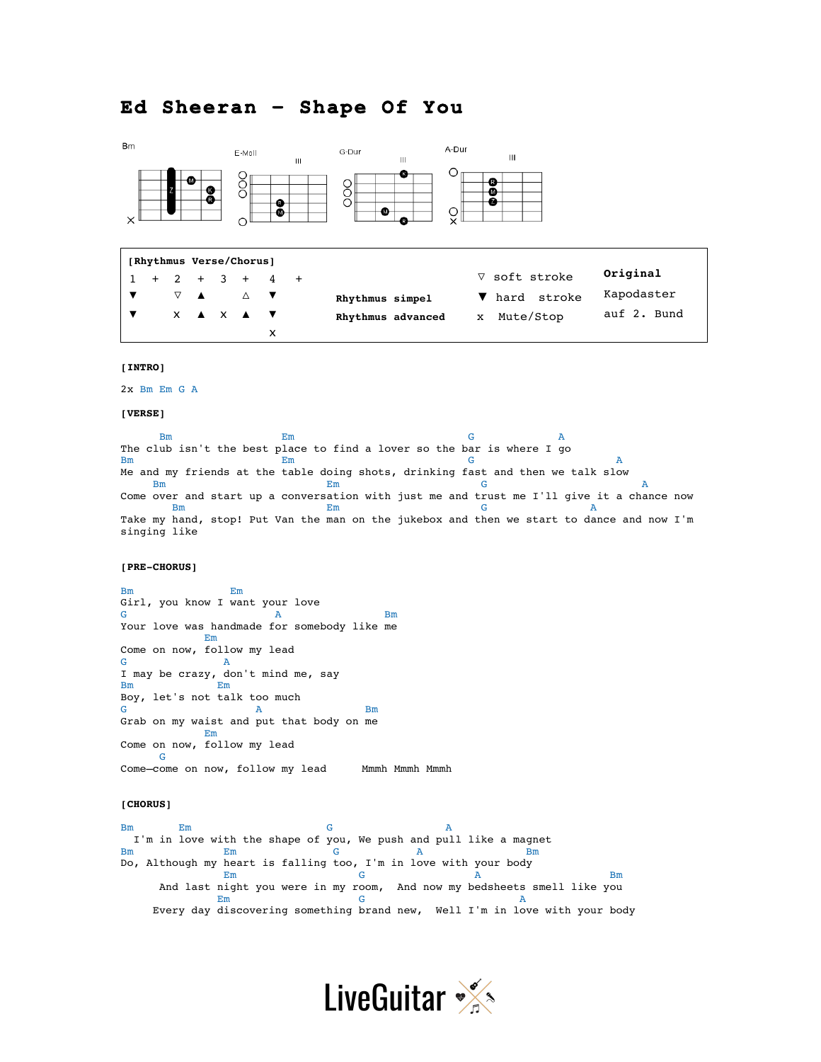# **Ed Sheeran – Shape Of You**



| [Rhythmus Verse/Chorus] |  |  |                           |  |                                         |                   |  |                   |  |               |             |
|-------------------------|--|--|---------------------------|--|-----------------------------------------|-------------------|--|-------------------|--|---------------|-------------|
|                         |  |  |                           |  |                                         | $1 + 2 + 3 + 4 +$ |  |                   |  | ∇ soft stroke | Original    |
|                         |  |  | $\nabla$ $\blacktriangle$ |  | ∧ ▼                                     |                   |  | Rhythmus simpel   |  | ▼ hard stroke | Kapodaster  |
|                         |  |  |                           |  | $\blacksquare$ x x x x x $\blacksquare$ |                   |  | Rhythmus advanced |  | x Mute/Stop   | auf 2. Bund |
|                         |  |  |                           |  |                                         |                   |  |                   |  |               |             |

#### **[INTRO]**

## 2x Bm Em G A

#### **[VERSE]**

Bm Box Em C A The club isn't the best place to find a lover so the bar is where I go Bm Books and the Books of the Books of the Books and the Books of the Books and the Books of the Books and the Books and the Books and the Books and the Books and the Books and the Books and the Books and the Books and the Me and my friends at the table doing shots, drinking fast and then we talk slow  $\frac{Bm}{d}$  Bm Em G A Come over and start up a conversation with just me and trust me I'll give it a chance now Bm Bm Em G A Take my hand, stop! Put Van the man on the jukebox and then we start to dance and now I'm singing like

## **[PRE-CHORUS]**

Bm Em Girl, you know I want your love  $\overline{a}$  Bm Your love was handmade for somebody like me Em Come on now, follow my lead **A** I may be crazy, don't mind me, say Bm Em Boy, let's not talk too much  $A$  Bm Grab on my waist and put that body on me Em Come on now, follow my lead G Come—come on now, follow my lead Mmmh Mmmh Mmmh

# **[CHORUS]**

Bm Em G A I'm in love with the shape of you, We push and pull like a magnet Bm Box Em G A Bm Do, Although my heart is falling too, I'm in love with your body Em G A Bm And last night you were in my room, And now my bedsheets smell like you Em Reserves to the Contract of the Contract of the Contract of the Contract of the Contract of the Contract of Every day discovering something brand new, Well I'm in love with your body

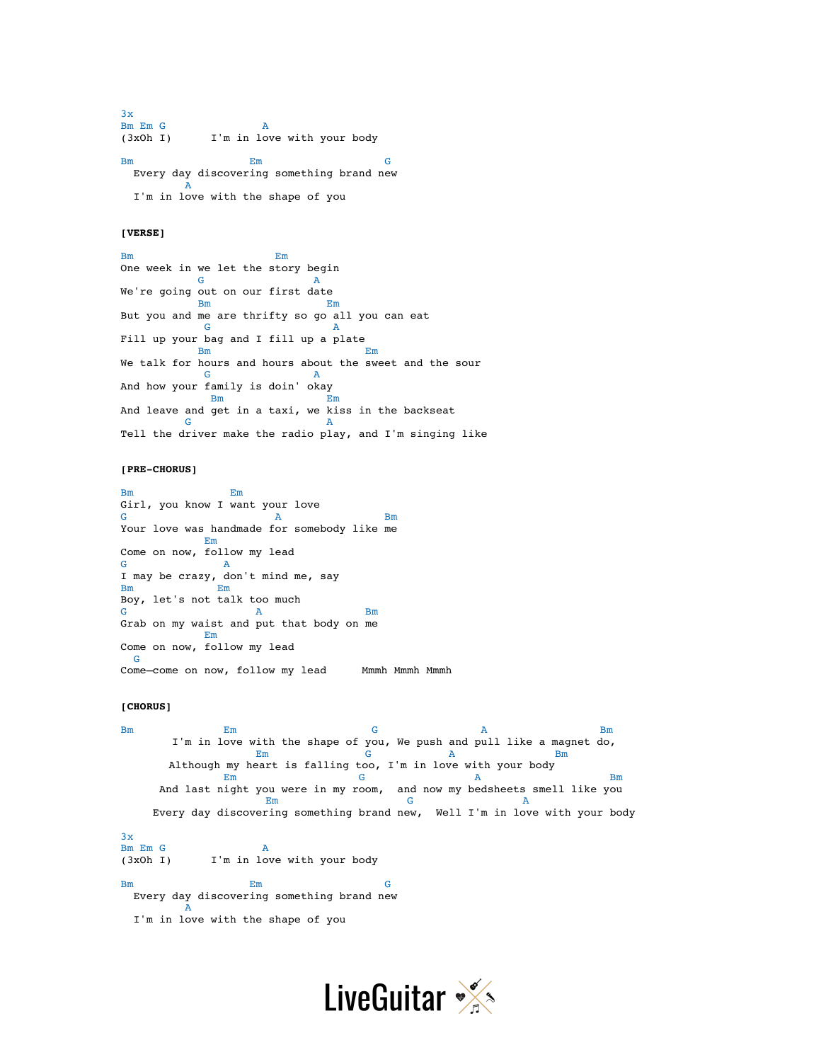3x Bm Em G A (3xOh I) I'm in love with your body Bm **Em G**  Every day discovering something brand new A I'm in love with the shape of you

## **[VERSE]**

Bm Em One week in we let the story begin G A RESIDENCE A RESIDENCE A RESIDENCE A RESIDENCE A RESIDENCE A RESIDENCE A RESIDENCE A RESIDENCE A RESIDENCE A RESIDENCE A RESIDENCE A RESIDENCE A RESIDENCE A RESIDENCE A RESIDENCE A RESIDENCE A RESIDENCE A RESIDENCE A RE We're going out on our first date<br>  $\frac{Bm}{E}$  Bm Em But you and me are thrifty so go all you can eat G A Fill up your bag and I fill up a plate **Bm** Emergency Emergency Emergency Emergency Emergency Emergency Emergency Emergency Emergency Emergency Emergency We talk for hours and hours about the sweet and the sour G A And how your family is doin' okay **Bm** Emergency Emergency Emergency Emergency Emergency Emergency Emergency Emergency Emergency Emergency Emergency And leave and get in a taxi, we kiss in the backseat G A RESERVE A Tell the driver make the radio play, and I'm singing like

#### **[PRE-CHORUS]**

Bm Em Girl, you know I want your love  $A$  Bm Your love was handmade for somebody like me Em Come on now, follow my lead G **A** I may be crazy, don't mind me, say  $Em$ Bm Em Boy, let's not talk too much  $A$  Bm Grab on my waist and put that body on me Em Come on now, follow my lead G Come—come on now, follow my lead Mmmh Mmmh Mmmh

#### **[CHORUS]**

Bm Em G A Bm I'm in love with the shape of you, We push and pull like a magnet do, Em G A Bm Although my heart is falling too, I'm in love with your body Em G A Bm And last night you were in my room, and now my bedsheets smell like you Em Books and G and A Every day discovering something brand new, Well I'm in love with your body 3x Bm Em G A<br>
(3x0h I) I'm in lov I'm in love with your body Bm Em G Every day discovering something brand new A I'm in love with the shape of you